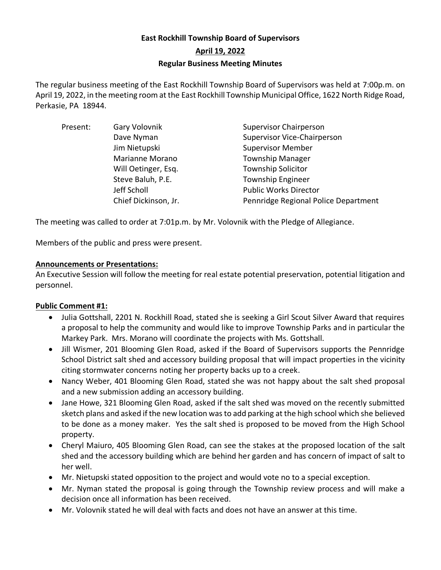# **East Rockhill Township Board of Supervisors April 19, 2022 Regular Business Meeting Minutes**

The regular business meeting of the East Rockhill Township Board of Supervisors was held at 7:00p.m. on April 19, 2022, in the meeting room at the East Rockhill Township Municipal Office, 1622 North Ridge Road, Perkasie, PA 18944.

| Present: | Gary Volovnik        | <b>Supervisor Chairperson</b>        |
|----------|----------------------|--------------------------------------|
|          | Dave Nyman           | Supervisor Vice-Chairperson          |
|          | Jim Nietupski        | <b>Supervisor Member</b>             |
|          | Marianne Morano      | <b>Township Manager</b>              |
|          | Will Oetinger, Esq.  | <b>Township Solicitor</b>            |
|          | Steve Baluh, P.E.    | <b>Township Engineer</b>             |
|          | Jeff Scholl          | <b>Public Works Director</b>         |
|          | Chief Dickinson, Jr. | Pennridge Regional Police Department |

The meeting was called to order at 7:01p.m. by Mr. Volovnik with the Pledge of Allegiance.

Members of the public and press were present.

# **Announcements or Presentations:**

An Executive Session will follow the meeting for real estate potential preservation, potential litigation and personnel.

# **Public Comment #1:**

- Julia Gottshall, 2201 N. Rockhill Road, stated she is seeking a Girl Scout Silver Award that requires a proposal to help the community and would like to improve Township Parks and in particular the Markey Park. Mrs. Morano will coordinate the projects with Ms. Gottshall.
- Jill Wismer, 201 Blooming Glen Road, asked if the Board of Supervisors supports the Pennridge School District salt shed and accessory building proposal that will impact properties in the vicinity citing stormwater concerns noting her property backs up to a creek.
- Nancy Weber, 401 Blooming Glen Road, stated she was not happy about the salt shed proposal and a new submission adding an accessory building.
- Jane Howe, 321 Blooming Glen Road, asked if the salt shed was moved on the recently submitted sketch plans and asked if the new location was to add parking at the high school which she believed to be done as a money maker. Yes the salt shed is proposed to be moved from the High School property.
- Cheryl Maiuro, 405 Blooming Glen Road, can see the stakes at the proposed location of the salt shed and the accessory building which are behind her garden and has concern of impact of salt to her well.
- Mr. Nietupski stated opposition to the project and would vote no to a special exception.
- Mr. Nyman stated the proposal is going through the Township review process and will make a decision once all information has been received.
- Mr. Volovnik stated he will deal with facts and does not have an answer at this time.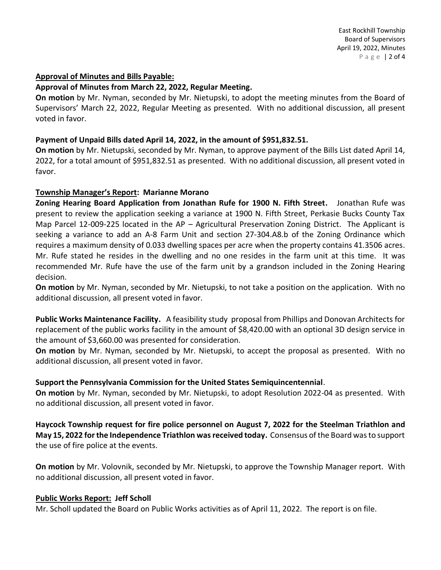### **Approval of Minutes and Bills Payable:**

### **Approval of Minutes from March 22, 2022, Regular Meeting.**

**On motion** by Mr. Nyman, seconded by Mr. Nietupski, to adopt the meeting minutes from the Board of Supervisors' March 22, 2022, Regular Meeting as presented. With no additional discussion, all present voted in favor.

### **Payment of Unpaid Bills dated April 14, 2022, in the amount of \$951,832.51.**

**On motion** by Mr. Nietupski, seconded by Mr. Nyman, to approve payment of the Bills List dated April 14, 2022, for a total amount of \$951,832.51 as presented. With no additional discussion, all present voted in favor.

#### **Township Manager's Report: Marianne Morano**

**Zoning Hearing Board Application from Jonathan Rufe for 1900 N. Fifth Street.** Jonathan Rufe was present to review the application seeking a variance at 1900 N. Fifth Street, Perkasie Bucks County Tax Map Parcel 12-009-225 located in the AP – Agricultural Preservation Zoning District. The Applicant is seeking a variance to add an A-8 Farm Unit and section 27-304.A8.b of the Zoning Ordinance which requires a maximum density of 0.033 dwelling spaces per acre when the property contains 41.3506 acres. Mr. Rufe stated he resides in the dwelling and no one resides in the farm unit at this time. It was recommended Mr. Rufe have the use of the farm unit by a grandson included in the Zoning Hearing decision.

**On motion** by Mr. Nyman, seconded by Mr. Nietupski, to not take a position on the application. With no additional discussion, all present voted in favor.

**Public Works Maintenance Facility.** A feasibility study proposal from Phillips and Donovan Architects for replacement of the public works facility in the amount of \$8,420.00 with an optional 3D design service in the amount of \$3,660.00 was presented for consideration.

**On motion** by Mr. Nyman, seconded by Mr. Nietupski, to accept the proposal as presented. With no additional discussion, all present voted in favor.

## **Support the Pennsylvania Commission for the United States Semiquincentennial**.

**On motion** by Mr. Nyman, seconded by Mr. Nietupski, to adopt Resolution 2022-04 as presented. With no additional discussion, all present voted in favor.

**Haycock Township request for fire police personnel on August 7, 2022 for the Steelman Triathlon and May 15, 2022 forthe Independence Triathlon was received today.** Consensus of the Board was to support the use of fire police at the events.

**On motion** by Mr. Volovnik, seconded by Mr. Nietupski, to approve the Township Manager report. With no additional discussion, all present voted in favor.

## **Public Works Report: Jeff Scholl**

Mr. Scholl updated the Board on Public Works activities as of April 11, 2022. The report is on file.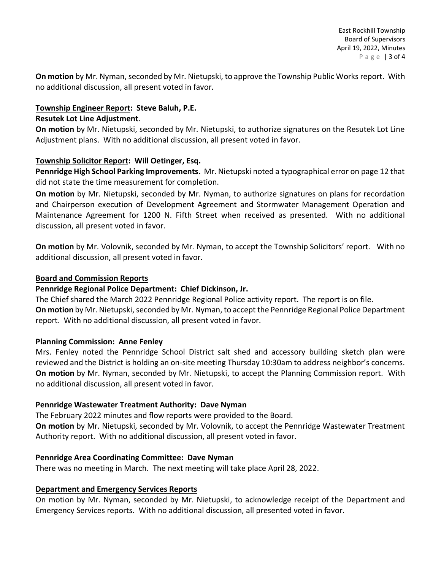**On motion** by Mr. Nyman, seconded by Mr. Nietupski, to approve the Township Public Works report. With no additional discussion, all present voted in favor.

# **Township Engineer Report: Steve Baluh, P.E. Resutek Lot Line Adjustment**.

**On motion** by Mr. Nietupski, seconded by Mr. Nietupski, to authorize signatures on the Resutek Lot Line Adjustment plans. With no additional discussion, all present voted in favor.

# **Township Solicitor Report: Will Oetinger, Esq.**

**Pennridge High School Parking Improvements**. Mr. Nietupski noted a typographical error on page 12 that did not state the time measurement for completion.

**On motion** by Mr. Nietupski, seconded by Mr. Nyman, to authorize signatures on plans for recordation and Chairperson execution of Development Agreement and Stormwater Management Operation and Maintenance Agreement for 1200 N. Fifth Street when received as presented. With no additional discussion, all present voted in favor.

**On motion** by Mr. Volovnik, seconded by Mr. Nyman, to accept the Township Solicitors' report. With no additional discussion, all present voted in favor.

# **Board and Commission Reports**

# **Pennridge Regional Police Department: Chief Dickinson, Jr.**

The Chief shared the March 2022 Pennridge Regional Police activity report. The report is on file. **On motion** by Mr. Nietupski, seconded by Mr. Nyman, to accept the Pennridge Regional Police Department report. With no additional discussion, all present voted in favor.

## **Planning Commission: Anne Fenley**

Mrs. Fenley noted the Pennridge School District salt shed and accessory building sketch plan were reviewed and the District is holding an on-site meeting Thursday 10:30am to address neighbor's concerns. **On motion** by Mr. Nyman, seconded by Mr. Nietupski, to accept the Planning Commission report. With no additional discussion, all present voted in favor.

## **Pennridge Wastewater Treatment Authority: Dave Nyman**

The February 2022 minutes and flow reports were provided to the Board.

**On motion** by Mr. Nietupski, seconded by Mr. Volovnik, to accept the Pennridge Wastewater Treatment Authority report. With no additional discussion, all present voted in favor.

## **Pennridge Area Coordinating Committee: Dave Nyman**

There was no meeting in March. The next meeting will take place April 28, 2022.

## **Department and Emergency Services Reports**

On motion by Mr. Nyman, seconded by Mr. Nietupski, to acknowledge receipt of the Department and Emergency Services reports. With no additional discussion, all presented voted in favor.